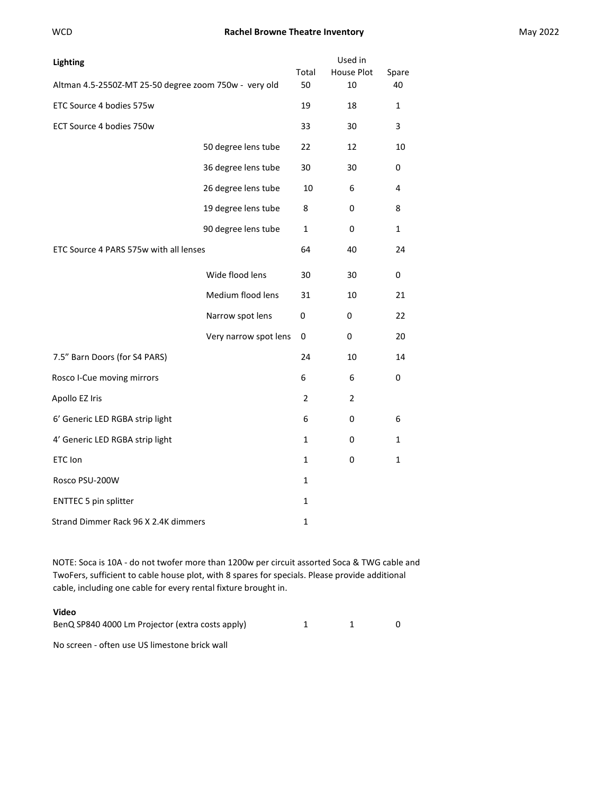# WCD **Rachel Browne Theatre Inventory Rachel Browne Theatre Inventory Rachel Browne Theatre Inventory May 2022**

| <b>Lighting</b>                                       |                       | Total        | Used in<br>House Plot | Spare |
|-------------------------------------------------------|-----------------------|--------------|-----------------------|-------|
| Altman 4.5-2550Z-MT 25-50 degree zoom 750w - very old |                       | 50           | 10                    | 40    |
| ETC Source 4 bodies 575w                              |                       | 19           | 18                    | 1     |
| ECT Source 4 bodies 750w                              |                       | 33           | 30                    | 3     |
|                                                       | 50 degree lens tube   | 22           | 12                    | 10    |
|                                                       | 36 degree lens tube   | 30           | 30                    | 0     |
|                                                       | 26 degree lens tube   | 10           | 6                     | 4     |
|                                                       | 19 degree lens tube   | 8            | 0                     | 8     |
|                                                       | 90 degree lens tube   | 1            | 0                     | 1     |
| ETC Source 4 PARS 575w with all lenses                |                       | 64           | 40                    | 24    |
|                                                       | Wide flood lens       | 30           | 30                    | 0     |
|                                                       | Medium flood lens     | 31           | 10                    | 21    |
|                                                       | Narrow spot lens      | 0            | 0                     | 22    |
|                                                       | Very narrow spot lens | 0            | 0                     | 20    |
| 7.5" Barn Doors (for S4 PARS)                         |                       | 24           | 10                    | 14    |
| Rosco I-Cue moving mirrors                            |                       | 6            | 6                     | 0     |
| Apollo EZ Iris                                        |                       | 2            | 2                     |       |
| 6' Generic LED RGBA strip light                       |                       | 6            | 0                     | 6     |
| 4' Generic LED RGBA strip light                       |                       | $\mathbf{1}$ | 0                     | 1     |
| ETC Ion                                               |                       | $\mathbf{1}$ | 0                     | 1     |
| Rosco PSU-200W                                        |                       | $\mathbf{1}$ |                       |       |
| <b>ENTTEC 5 pin splitter</b>                          |                       | $\mathbf{1}$ |                       |       |
| Strand Dimmer Rack 96 X 2.4K dimmers                  |                       | 1            |                       |       |

NOTE: Soca is 10A ‐ do not twofer more than 1200w per circuit assorted Soca & TWG cable and TwoFers, sufficient to cable house plot, with 8 spares for specials. Please provide additional cable, including one cable for every rental fixture brought in.

# **Video**

| BenQ SP840 4000 Lm Projector (extra costs apply) |  |  |
|--------------------------------------------------|--|--|
|                                                  |  |  |

No screen ‐ often use US limestone brick wall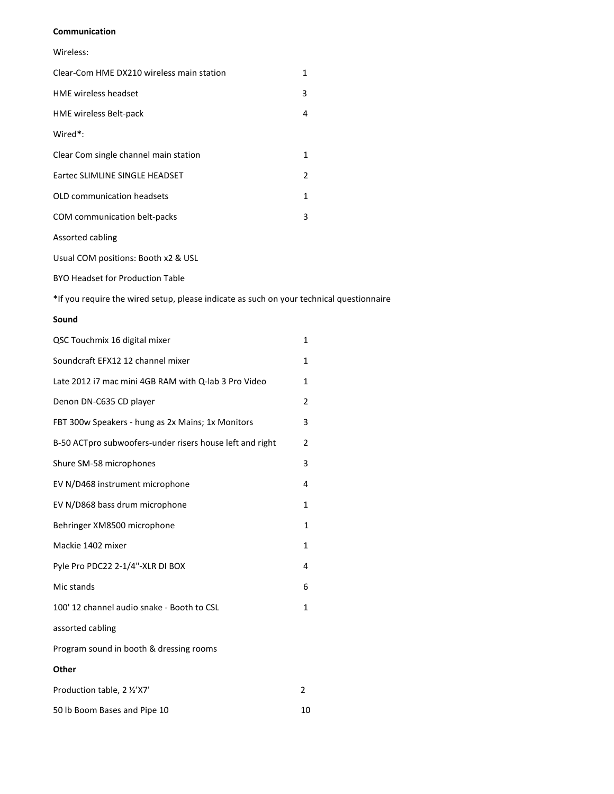#### **Communication**

## Wireless:

| Clear-Com HME DX210 wireless main station | 1 |
|-------------------------------------------|---|
| <b>HME</b> wireless headset               | 3 |
| <b>HME wireless Belt-pack</b>             | 4 |
| Wired*:                                   |   |
| Clear Com single channel main station     | 1 |
| Eartec SLIMLINE SINGLE HEADSET            | 2 |
| OLD communication headsets                | 1 |
| COM communication belt-packs              | 3 |
| Assorted cabling                          |   |

Usual COM positions: Booth x2 & USL

BYO Headset for Production Table

**\***If you require the wired setup, please indicate as such on your technical questionnaire

## **Sound**

| QSC Touchmix 16 digital mixer                            | 1            |
|----------------------------------------------------------|--------------|
| Soundcraft EFX12 12 channel mixer                        | 1            |
| Late 2012 i7 mac mini 4GB RAM with Q-lab 3 Pro Video     | 1            |
| Denon DN-C635 CD player                                  | 2            |
| FBT 300w Speakers - hung as 2x Mains; 1x Monitors        | 3            |
| B-50 ACTpro subwoofers-under risers house left and right | 2            |
| Shure SM-58 microphones                                  | 3            |
| EV N/D468 instrument microphone                          | 4            |
| EV N/D868 bass drum microphone                           | 1            |
| Behringer XM8500 microphone                              | $\mathbf{1}$ |
| Mackie 1402 mixer                                        | 1            |
| Pyle Pro PDC22 2-1/4"-XLR DI BOX                         | 4            |
| Mic stands                                               | 6            |
| 100' 12 channel audio snake - Booth to CSL               | $\mathbf{1}$ |
| assorted cabling                                         |              |
| Program sound in booth & dressing rooms                  |              |
| Other                                                    |              |
| Production table, 2 1/2'X7'                              | 2            |

50 lb Boom Bases and Pipe 10 10 10